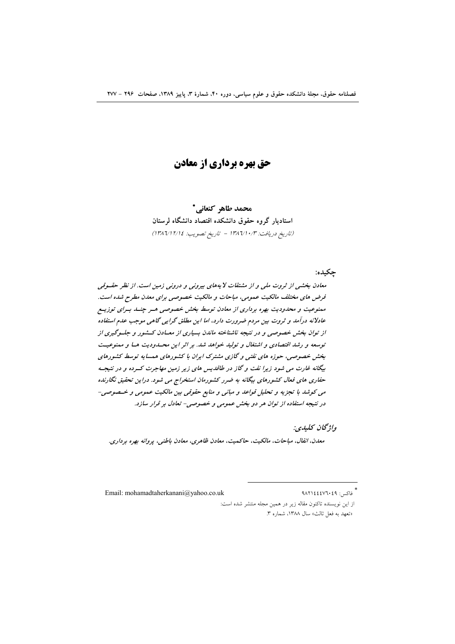# **حق بهره برداري از معادن**

محمد طاهر كنعاني\* استادیار گروه حقوق دانشکده اقتصاد دانشگاه لرستان (تاريخ دريافت: ١٣٨٦/١٠/٣ - تاريخ تصويب: ١٣٨٦/١٢/١٤)

جكىدە:

معادن بخشی از ثروت ملی و از مشتقات لا یههای بیرونی و درونی زمین است. از نظر حقسوقی فرض های مختلف مالکیت عمومی، مباحات و مالکیت خصوصبی برای معدن مطرح شده است. ممنوعیت و محدودیت بهره برداری از معادن توسط بخش خصوصی هـر چنــد بـرای توزیــع عادلانه درآمد و ثروت بین مردم ضرورت دارد، اما این مطلق گرایی گاهی موجب عدم استفاده از توان بخش خصوصی و در نتیجه ناشناخته ماندن بسیاری از معـادن کــشور و جلـوگیری از توسعه و رشد اقتصادی و اشتغال و تولید خواهد شد. بر اثر این محسدودیت هسا و ممنوعیت بخش خصوصی، حوزه های نفتی و گازی مشترک ایران با کشورهای همسایه توسط کشورهای بیگانه غارت می شود زیرا نفت و گاز در طاقدیس های زیر زمین مهاجرت کسرده و در نتیجه حفاری های فعال کشورهای بیگانه به ضرر کشورمان استخراج می شود. دراین تحقیق نگارنده مي كوشد با تجزيه و تحليل قواعد و مباني و منابع حقوقي بين مالكيت عمومي و خـصوصي-در نتیجه استفاده از توان هر دو بخش عمومی و خصوصی- تعادل بر قرار سازد.

واژىخان كىلىدى:

معدن، انفال، مباحات، مالكيت، حاكميت، معادن ظاهري، معادن باطني، پروانه بهره برداري.

فاكس: ٩٨٢١٤٤٤٧٦٠٤٩ Email: mohamadtaherkanani@yahoo.co.uk از این نویسنده تاکنون مقاله زیر در همین مجله منتشر شده است: «تعهد به فعل ثالث» سال ١٣٨٨، شماره ٣.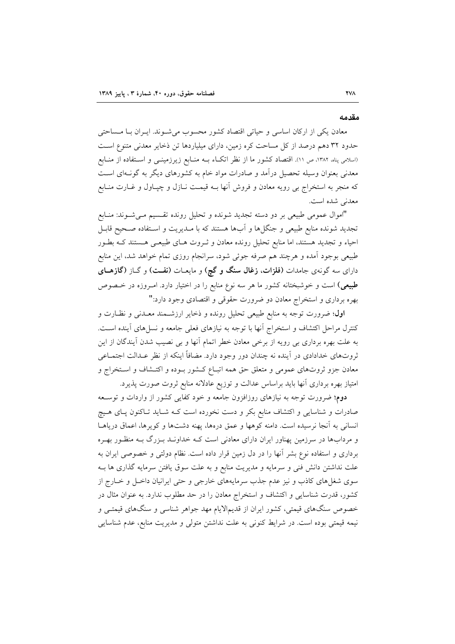#### مقدمه

معادن یکی از ارکان اساسی و حیاتی اقتصاد کشور محسوب می شـوند. ایـران بـا مـساحتی حدود ۳۲ دهم درصد از کل مساحت کره زمین، دارای میلیاردها تن ذخایر معدنی متنوع است (اسلامی پناه، ۱۳۸۲، ص ۱۱). اقتصاد کشور ما از نظر اتکIء بــه منــابع زیرزمینــی و اســتفاده از منــابع معدنی بعنوان وسیله تحصیل درآمد و صادرات مواد خام به کشورهای دیگر به گونـهای اسـت که منجر به استخراج بی رویه معادن و فروش أنها بــه قیمــت نــازل و چپــاول و غــارت منــابع معدنی شده است.

"اموال عمومي طبيعي بر دو دسته تجديد شونده و تحليل رونده تقسيم مـي شـوند: منـابع تجدید شونده منابع طبیعی و جنگلها و أبها هستند که با مـدیریت و اسـتفاده صـحیح قابـل احیاء و تجدید هستند، اما منابع تحلیل رونده معادن و ثـروت هـای طبیعـی هـستند کـه بطـور طبیعی بوجود آمده و هرچند هم صرفه جوئی شود، سرانجام روزی تمام خواهد شد، این منابع دارای سه گونهی جامدات (فلزات، **زغال سنگ و گچ**) و مایعـات (**نفــ**ت) و گــاز (**گازهــای طبیعی)** است و خوشبختانه کشور ما هر سه نوع منابع را در اختیار دارد. امـروزه در خـصوص بهره برداری و استخراج معادن دو ضرورت حقوقی و اقتصادی وجود دارد:"

**اول**؛ ضرورت توجه به منابع طبیعی تحلیل رونده و ذخایر ارزشـمند معـدنی و نظـارت و کنترل مراحل اکتشاف و استخراج آنها با توجه به نیازهای فعلی جامعه و نسلهای آینده است. به علت بهره برداری بی رویه از برخی معادن خطر اتمام آنها و بی نصیب شدن آیندگان از این ثروتهای خدادادی در آینده نه چندان دور وجود دارد. مضافاً اینکه از نظر عـدالت اجتمــاعی معادن جزو ثروتهای عمومی و متعلق حق همه اتبـاع کـشور بـوده و اکتـشاف و اسـتخراج و امتیاز بهره برداری آنها باید براساس عدالت و توزیع عادلانه منابع ثروت صورت یذیرد.

دوم؛ ضرورت توجه به نیازهای روزافزون جامعه و خود کفایی کشور از واردات و توسـعه صادرات و شناسایی و اکتشاف منابع بکر و دست نخورده است کـه شـاید تـاکنون پـای هـیچ انسانی به آنجا نرسیده است. دامنه کوهها و عمق درهها، پهنه دشتها و کویرها، اعماق دریاهـا و مردابها در سرزمین پهناور ایران دارای معادنی است کـه خداونـد بـزرگ بـه منظـور بهـره برداری و استفاده نوع بشر آنها را در دل زمین قرار داده است. نظام دولتی و خصوصی ایران به علت نداشتن دانش فنی و سرمایه و مدیریت منابع و به علت سوق یافتن سرمایه گذاری ها بـه سوی شغلهای کاذب و نیز عدم جذب سرمایههای خارجی و حتی ایرانیان داخـل و خـارج از کشور، قدرت شناسایی و اکتشاف و استخراج معادن را در حد مطلوب ندارد. به عنوان مثال در خصوص سنگهای قیمتی، کشور ایران از قدیمالایام مهد جواهر شناسی و سنگهای قیمتـی و نیمه قیمتی بوده است. در شرایط کنونی به علت نداشتن متولی و مدیریت منابع، عدم شناسایی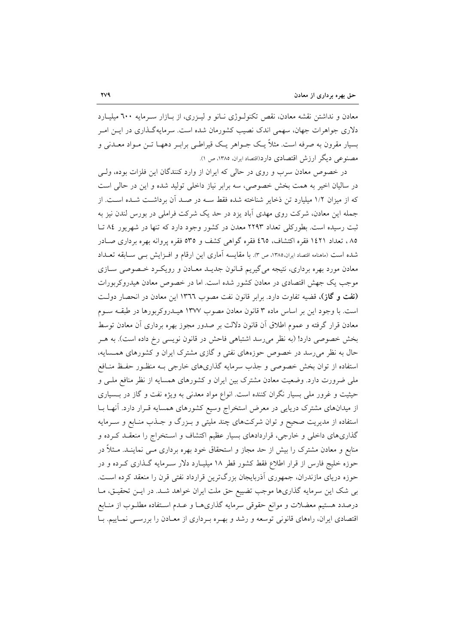معادن و نداشتن نقشه معادن، نقص تکنولـوژی نـانو و ليـزری، از بـازار سـرمايه ٦٠٠ ميليـارد دلاری جواهرات جهان، سهمی اندک نصیب کشورمان شده است. سرمایهگذاری در ایـن امـر بسیار مقرون به صرفه است. مثلاً یـک جــواهر یـک قیراطــی برابــر دههــا تــن مــواد معــدنی و مصنوعی دیگر ارزش اقتصادی دارد(اقتصادایران، ۱۳۸۵، ص ۱).

در خصوص معادن سرب و روی در حالی که ایران از وارد کنندگان این فلزات بوده، ولـی در سالیان اخیر به همت بخش خصوصی، سه برابر نیاز داخلی تولید شده و این در حالی است که از میزان ۱/۲ میلیارد تن ذخایر شناخته شده فقط ســه در صــد آن برداشــت شــده اســت. از جمله این معادن، شرکت روی مهدی آباد یزد در حد یک شرکت فراملی در بورس لندن نیز به ثبت رسیده است. بطورکلی تعداد ۲۲۹۳ معدن در کشور وجود دارد که تنها در شهریور ۸٤ تـا ۸۵، تعداد ۱٤۲۱ فقره اکتشاف، ٤٦٥ فقره گواهی کشف و ٥٣٥ فقره پروانه بهره برداری صـادر شده است (ماهنامه اقتصاد ایران،۱۳۸۵، ص ۳). با مقایسه آماری این ارقام و افـزایش بـی ســابقه تعــداد معادن مورد بهره برداری، نتیجه میگیریم قـانون جدیــد معــادن و رویکــرد خــصوصی ســازی موجب یک جهش اقتصادی در معادن کشور شده است. اما در خصوص معادن هیدروکربورات (نفت و گاز)، قضیه تفاوت دارد. برابر قانون نفت مصوب ١٣٦٦ این معادن در انحصار دولت است. با وجود این بر اساس ماده ۳ قانون معادن مصوب ۱۳۷۷ هیــدروکربورها در طبقــه ســوم معادن قرار گرفته و عموم اطلاق آن قانون دلالت بر صدور مجوز بهره برداری آن معادن توسط بخش خصوصی دارد! (به نظر میرسد اشتباهی فاحش در قانون نویسی رخ داده است). به هـر حال به نظر می رسد در خصوص حوزههای نفتی و گازی مشترک ایران و کشورهای همسایه، استفاده از توان بخش خصوصی و جذب سرمایه گذاریهای خارجی بـه منظـور حفـظ منـافع ملی ضرورت دارد. وضعیت معادن مشترک بین ایران و کشورهای همسایه از نظر منافع ملـی و حیثیت و غرور ملی بسیار نگران کننده است. انواع مواد معدنی به ویژه نفت و گاز در بـسیاری از میدانهای مشترک دریایی در معرض استخراج وسیع کشورهای همسایه قـرار دارد. آنهـا بــا استفاده از مدیریت صحیح و توان شرکتهای چند ملیتی و بـزرگ و جـذب منـابع و سـرمایه گذاری های داخلی و خارجی، قراردادهای بسیار عظیم اکتشاف و استخراج را منعقـد کـرده و منابع و معادن مشترک را بیش از حد مجاز و استحقاق خود بهره برداری مــی نماینــد. مــثلاً در حوزه خلیج فارس از قرار اطلاع فقط کشور قطر ۱۸ میلیـارد دلار سـرمایه گـذاری کـرده و در حوزه دریای مازندران، جمهوری آذربایجان بزرگترین قرارداد نفتی قرن را منعقد کرده است. بی شک این سرمایه گذاریها موجب تضییع حق ملت ایران خواهد شـد. در ایـن تحقیـق، مـا درصدد هستیم معضلات و موانع حقوقی سرمایه گذاریهـا و عـدم اسـتفاده مطلــوب از منــابع اقتصادی ایران، راههای قانونی توسعه و رشد و بهـره بـرداری از معـادن را بررسـی نمـاییم. بـا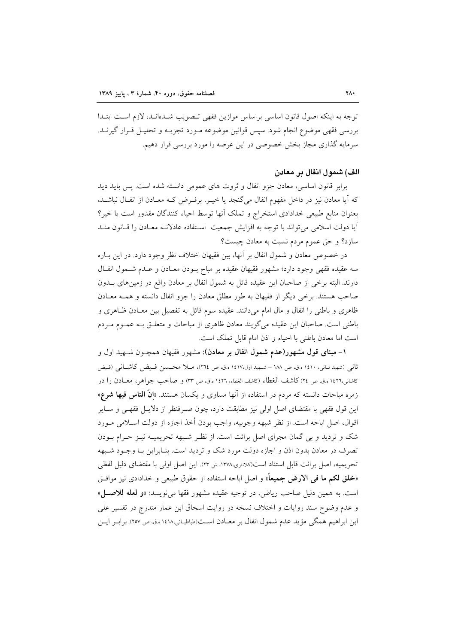توجه به اینکه اصول قانون اساسی براساس موازین فقهی تصویب شـدهانـد، لازم اسـت ابتـدا بررسی فقهی موضوع انجام شود. سپس قوانین موضوعه مـورد تجزیــه و تحلیــل قــرار گیرنــد. سرمایه گذاری مجاز بخش خصوصی در این عرصه را مورد بررسی قرار دهیم.

### الف) شمول انفال بر معادن

برابر قانون اساسی، معادن جزو انفال و ثروت های عمومی دانسته شده است. پس باید دید که آیا معادن نیز در داخل مفهوم انفال میگنجد یا خیـر. برفـرض کـه معـادن از انفـال نباشـد. بعنوان منابع طبيعي خدادادي استخراج و تملك آنها توسط احياء كنندگان مقدور است يا خير؟ آيا دولت اسلامي مي تواند با توجه به افزايش جمعيت استفاده عادلانـه معـادن را قـانون منـد سازد؟ و حق عموم مردم نسبت به معادن چیست؟

در خصوص معادن و شمول انفال بر آنها، بین فقیهان اختلاف نظر وجود دارد. در این بـاره سه عقیده فقهی وجود دارد؛ مشهور فقیهان عقیده بر مباح بـودن معـادن و عـدم شـمول انفـال دارند. البته برخی از صاحبان این عقیده قائل به شمول انفال بر معادن واقع در زمینهای بــدون صاحب هستند. برخی دیگر از فقیهان به طور مطلق معادن را جزو انفال دانسته و همـه معـادن ظاهری و باطنی را انفال و مال امام میدانند. عقیده سوم قائل به تفصیل بین معـادن ظـاهری و باطنی است. صاحبان این عقیده می گویند معادن ظاهری از مباحات و متعلـق بـه عمـوم مـردم است اما معادن باطني با احياء و اذن امام قابل تملك است.

۱– مبنای قول مشهور(عدم شمول انفال بر معادن): مشهور فقیهان همچــون شــهید اول و ثاني (شهيد ثـاني، ١٤١٠ ه.ق، ص ١٨٨ – شـهيد اول،١٤١٧ ه.ق، ص ٢٦٤)، مــلا محــسن فـيض كاشــاني (فـيض كاشاني،١٤٢٦ ه.ق، ص ٢٤) كاشف الغطاء (كاشف الغطاء، ١٤٢٦ ه.ق، ص ٣٣) و صاحب جواهر، معــادن را در زمره مباحات دانسته که مردم در استفاده از آنها مساوی و یکسان هستند. «**انّ الناس فیها شرع»** این قول فقهی با مقتضای اصل اولی نیز مطابقت دارد، چون صـرفنظر از دلایــل فقهـی و ســایر اقوال، اصل اباحه است. از نظر شبهه وجوبيه، واجب بودن أخذ اجازه از دولت اســلامي مــورد شک و تردید و بی گمان مجرای اصل برائت است. از نظـر شـبهه تحریمیـه نیـز حـرام بـودن تصرف در معادن بدون اذن و اجازه دولت مورد شک و تردید است. بنـابراین بـا وجـود شـبهه تحريميه، اصل برائت قابل استناد است(كلانتري،١٣٧٨، ش ٢٣). اين اصل اولي با مقتضاي دليل لفظي «خلق لكم ما في الارض جميعاً» و اصل اباحه استفاده از حقوق طبيعي و خدادادي نيز موافـق است. به همين دليل صاحب رياض، در توجيه عقيده مشهور فقها مي نويسد: «و لعله للاصل» و عدم وضوح سند روايات و اختلاف نسخه در روايت اسحاق ابن عمار مندرج در تفسير على ابن ابراهیم همگی مؤید عدم شمول انفال بر معـادن اسـت(طباطبـائی،۱٤١٨ ه.ق. ص ٢٥٧). برابـر ایــن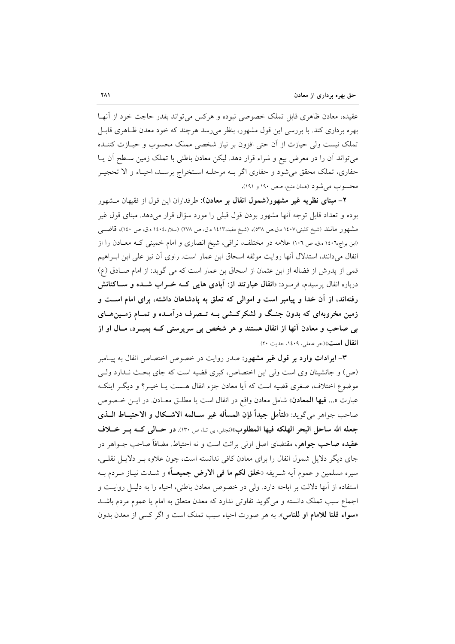عقيده، معادن ظاهري قابل تملك خصوصي نبوده و هركس مي تواند بقدر حاجت خود از آنهـا بهره برداری کند. با بررسی این قول مشهور، بنظر می رسد هرچند که خود معدن ظـاهری قابـا تملک نیست ولی حیازت از آن حتی افزون بر نیاز شخصی مملک محسوب و حیـازت کننـده میتواند آن را در معرض بیع و شراء قرار دهد. لیکن معادن باطنی با تملک زمین سـطح آن یـا حفاري، تملک محقق مي شود و حفاري اگر بـه مرحلـه اسـتخراج برسـد، احيـاء و الا تحجيـر محسوب مي شود (همان منبع، صص ١٩٠ و ١٩١).

۲– مبنای نظریه غیر مشهور(شمول انفال بر معادن): طرفداران این قول از فقیهان مشهور بوده و تعداد قابل توجه آنها مشهور بودن قول قبلی را مورد سؤال قرار میدهد. مبنای قول غیر مشهور مانند (شيخ كليني،١٤٠٧ ه.ق.ص ٥٣٨)، (شيخ مفيد.١٤١٣ ه.ق. ص ٢٧٨) (سلار،١٤٠٤ه.ق. ص ١٤٠)، قاضــي (ابن براج،١٤٠٦ ه.ق، ص ١٠٦) علامه در مختلف، نراقبي، شيخ انصاري و امام خميني كـه معــادن را از انفال می دانند، استدلال آنها روایت موثقه اسحاق ابن عمار است. راوی آن نیز علی ابن ابـراهیم قمی از پدرش از فضاله از ابن عثمان از اسحاق بن عمار است که می گوید: از امام صادق (ع) درباره انفال پرسیدم، فرمـود: «ا**نفال عبارتند از**: **آبادی هایی کــه خــراب شــده و ســاکنانش** رفتهاند، از آن خدا و پیامبر است و اموالی که تعلق به پادشاهان داشته، برای امام است و زمین مخروبهای که بدون جنگ و لشکرکشی بــه تــصرف درآمــده و تمــام زمــینهــای بی صاحب و معادن آنها از انفال هستند و هر شخص بی سرپرستی کــه بمیــرد، مــال او از **انفال است**» (حر عاملی، ۱٤۰۹، حدیث ۲۰).

۳- ایرادات وارد بر قول غیر مشهور: صدر روایت در خصوص اختصاص انفال به پیـامبر (ص) و جانشینان وی است ولی این اختصاص، کبری قضیه است که جای بحث نـدارد ولــ, موضوع اختلاف، صغري قضيه است كه آيا معادن جزء انفال هـست يــا خيــر؟ و ديگــر اينكــه عبارت «... فيها المعادن» شامل معادن واقع در انفال است يا مطلـق معـادن. در ايــن خـصوص صاحب جواهر مي گويد: «فتأمل جيداً فإن المسأله غير ســالمه الاشــكال و الاحتيــاط الــذي جعله الله ساحل البحر الهلكه فيها المطلوب»(نجفي، بي تـا، ص ١٣٠). در حـالي كــه بــر خــلاف **عقیده صاحب جواهر،** مقتضای اصل اولی برائت است و نه احتیاط. مضافاً صاحب جــواهر در جای دیگر دلایل شمول انفال را برای معادن کافی ندانسته است، چون علاوه بـر دلایـل نقلـی، سيره مسلمين و عموم آيه شيريفه «**خلق لكم ما في الارض جميعياً»** و شيدت نبياز ميردم بيه استفاده از آنها دلالت بر اباحه دارد. ولي در خصوص معادن باطني، احياء را به دليـل روايـت و اجماع سبب تملک دانسته و می گوید تفاوتی ندارد که معدن متعلق به امام یا عموم مردم باشـد «سواء قلنا للامام او للناس». به هر صورت احياء سبب تملك است و اگر كسى از معدن بدون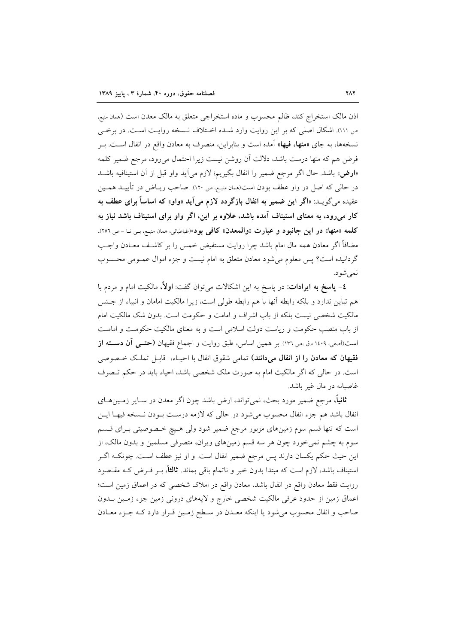اذن مالک استخراج کند، ظالم محسوب و ماده استخراجی متعلق به مالک معدن است (ممان منبع، ص ١١١). اشكال اصلى كه بر اين روايت وارد شـده اخـتلاف نـسخه روايـت اسـت. در برخـى نسخهها، به جای «**منها، فیها**» آمده است و بنابراین، منصرف به معادن واقع در انفال اسـت. بــر فرض هم كه منها درست باشد، دلالت آن روشن نيست زيرا احتمال مىرود، مرجع ضمير كلمه «ارض» باشد. حال اگر مرجع ضمیر را انفال بگیریم؛ لازم می آید واو قبل از آن استینافیه باشـد در حالی که اصل در واو عطف بودن است(همان منبع، ص ۱۲۰). صاحب ریــاض در تأییـــد همــین عقیده میگویــد: «اگر این ضمیر به انفال بازگردد لازم میآید «واو» که اساساً برای عطف به کار میرود، به معنای استیناف آمده باشد، علاوه بر این، اگر واو برای استیناف باشد نیاز به كلمه «منها» در اين جانبود و عبارت «والمعدن» كافي بود»(طباطبائي، همان منبع، بي تـا -ص ٢٥٦). مضافاً اگر معادن همه مال امام باشد چرا روایت مستفیض خمس را بر کاشـف معــادن واجــب گردانیده است؟ پس معلوم می شود معادن متعلق به امام نیست و جزء اموال عمـومی محـسوب نمي شو د.

٤- پاسخ به ايرادات: در پاسخ به اين اشكالات مىتوان گفت: اولاً، مالكيت امام و مردم با هم تباين ندارد و بلكه رابطه آنها با هم رابطه طولي است، زيرا مالكيت امامان و انبياء از جـنس مالکیت شخصی نیست بلکه از باب اشراف و امامت و حکومت است. بدون شک مالکیت امام از باب منصب حکومت و ریاست دولت اسلامی است و به معنای مالکیت حکومت و امامت است(اَصفي، ١٤٠٩ ه.ق مص ١٣٦). بر همين اساس، طبق روايت و اجماع فقيهان (حتمي **آن دســته از** فقيهان كه معادن را از انفال مي دانند) تمامي شقوق انفال با احيــاء، قابـــل تملــك خــصوصي است. در حالی که اگر مالکیت امام به صورت ملک شخصی باشد، احیاء باید در حکم تـصرف غاصبانه در مال غیر باشد.

**ثانیاً**، مرجع ضمیر مورد بحث، نمی تواند، ارض باشد چون اگر معدن در سـایر زمـینهـای انفال باشد هم جزء انفال محسوب مي شود در حالي كه لازمه درست بـودن نـسخه فيهـا ايـن است که تنها قسم سوم زمینهای مزبور مرجع ضمیر شود ولی هـیچ خـصوصیتی بـرای قـسم سوم به چشم نمی خورد چون هر سه قسم زمینهای ویران، متصرفی مسلمین و بدون مالک، از اين حيث حكم يكسان دارند پس مرجع ضمير انفال است. و او نيز عطف اسـت. چونكـه اگــر استیناف باشد، لازم است که مبتدا بدون خبر و ناتمام باقی بماند. **ثالثاً**، بــر فــرض کــه مقــصود روایت فقط معادن واقع در انفال باشد، معادن واقع در املاک شخصی که در اعماق زمین است؛ اعماق زمین از حدود عرفی مالکیت شخصی خارج و لایههای درونی زمین جزء زمـین بــدون صاحب و انفال محسوب میشود یا اینکه معـدن در سـطح زمـین قـرار دارد کـه جـزء معـادن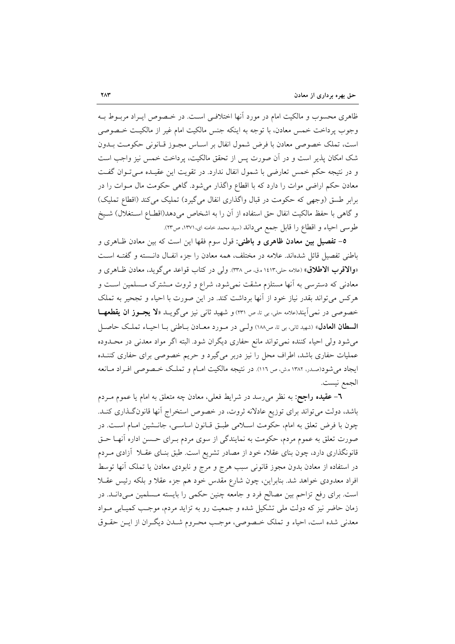ظاهری محسوب و مالکیت امام در مورد آنها اختلافی است. در خـصوص ایــراد مربــوط بــه وجوب پرداخت خمس معادن، با توجه به اینکه جنس مالکیت امام غیر از مالکیت خـصوصی است، تملک خصوصی معادن با فرض شمول انفال بر اسـاس مجـوز قـانونی حکومـت بــدون شک امکان پذیر است و در اَن صورت پس از تحقق مالکیت، پرداخت خمس نیز واجب است و در نتیجه حکم خمس تعارضی با شمول انفال ندارد. در تقویت این عقیـده مـیتوان گفـت معادن حکم اراضی موات را دارد که با اقطاع واگذار میشود. گاهی حکومت مال مـوات را در برابر طسق (وجهی که حکومت در قبال واگذاری انفال میگیرد) تملیک میکند (اقطاع تملیک) و گاهی با حفظ مالکیت انفال حق استفاده از آن را به اشخاص میدهد(اقطـاع اسـتغلال) شـیخ طوسي احياء و اقطاع را قابل جمع ميداند (سيد محمد خامنه اي،١٣٧١، ص٣٣).

0– تفصیل بین معادن ظاهری و باطنی: قول سوم فقها این است که بین معادن ظـاهری و باطنی تفصیل قائل شدهاند. علامه در مختلف، همه معادن را جزء انفـال دانـسته و گفتـه اسـت «**والاقرب الاطلاق**» (علامه حلي،١٤١٣هـ.ق ص ٣٣٨). ولي در كتاب قواعد ميگويد، معادن ظـاهري و معادنی که دسترسی به آنها مستلزم مشقت نمی شود، شراع و ثروت مـشترک مـسلمین اسـت و هرکس میتواند بقدر نیاز خود از آنها برداشت کند. در این صورت با احیاء و تجحیر به تملک خصوصی در نمی آیند(علامه حلی، بی تا، ص ٢٣١) و شهید ثانی نیز می گویـد «لا یجـوز ان یقطعهـا السطان العادل» (شهيد ثاني، بي تا، ص١٨٨) وليي در مـورد معـادن بـاطني بـا احيـاء تملـك حاصـل می شود ولی احیاء کننده نمی تواند مانع حفاری دیگران شود. البته اگر مواد معدنی در محـدوده عملیات حفاری باشد، اطراف محل را نیز دربر میگیرد و حریم خصوصی برای حفاری کننـده ایجاد میشود(صدر، ۱۳۸۲ ه.ش، ص ۱۱٦). در نتیجه مالکیت امـام و تملـک خـصوصی افـراد مـانعه الجمع نيست.

**٦**– **عقیده راجح**: به نظر می٫رسد در شرایط فعلی، معادن چه متعلق به امام یا عموم مــردم باشد، دولت میتواند برای توزیع عادلانه ثروت، در خصوص استخراج آنها قانونگذاری کنـد. چون با فرض تعلق به امام، حکومت اسلامی طبـق قـانون اساسـی، جانـشین امـام اسـت. در صورت تعلق به عموم مردم، حکومت به نمایندگی از سوی مردم بـرای حـسن اداره آنهــا حــق قانونگذاری دارد، چون بنای عقلاء خود از مصادر تشریع است. طبق بنـای عقــلا آزادی مــردم در استفاده از معادن بدون مجوز قانونی سبب هرج و مرج و نابودی معادن یا تملک آنها توسط افراد معدودی خواهد شد. بنابراین، چون شارع مقدس خود هم جزء عقلاً و بلکه رئیس عقــلا است. برای رفع تزاحم بین مصالح فرد و جامعه چنین حکمی را بایسته مـسلمین مـیدانــد. در زمان حاضر نیز که دولت ملی تشکیل شده و جمعیت رو به تزاید مردم، موجب کمیـابی مـواد معدني شده است، احياء و تملك خـصوصي، موجـب محـروم شـدن ديگـران از ايـن حقـوق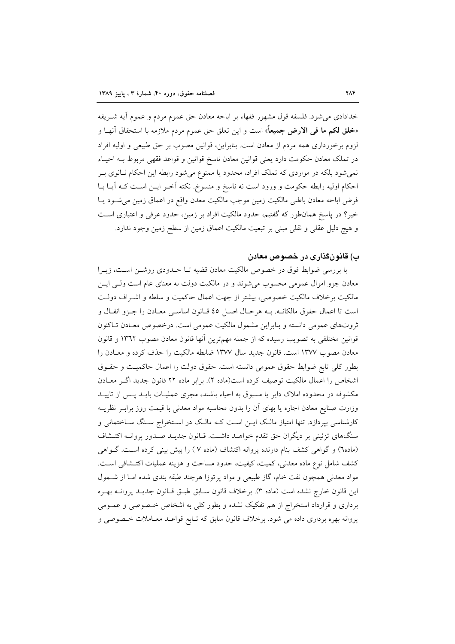خدادادي مي شود. فلسفه قول مشهور فقهاء بر اباحه معادن حق عموم مردم و عموم آيه شـريفه «خلق لكم ما في الارض جميعاً» است و اين تعلق حق عموم مردم ملازمه با استحقاق أنهـا و لزوم برخورداری همه مردم از معادن است. بنابراین، قوانین مصوب بر حق طبیعی و اولیه افراد در تملک معادن حکومت دارد یعنی قوانین معادن ناسخ قوانین و قواعد فقهی مربوط بـه احیـاء نمی شود بلکه در مواردی که تملک افراد، محدود یا ممنوع می شود رابطه این احکام ثـانوی بـر احکام اولیه رابطه حکومت و ورود است نه ناسخ و منسوخ. نکته آخـر ایــن اســت کــه آیــا بــا فرض اباحه معادن باطني مالكيت زمين موجب مالكيت معدن واقع در اعماق زمين مى شود يـا خیر؟ در پاسخ همانطور که گفتیم، حدود مالکیت افراد بر زمین، حدود عرفی و اعتباری است و هيچ دليل عقلي و نقلي مبني بر تبعيت مالكيت اعماق زمين از سطح زمين وجود ندارد.

## ب) قانونگذاری در خصوص معادن

با بررسی ضوابط فوق در خصوص مالکیت معادن قضیه تـا حــدودی روشــن اسـت، زیــرا معادن جزو اموال عمومی محسوب می شوند و در مالکیت دولت به معنای عام است ولبی ایـــن مالکیت برخلاف مالکیت خصوصی، بیشتر از جهت اعمال حاکمیت و سلطه و اشـراف دولـت است تا اعمال حقوق مالكانـه. بـه هرحـال اصـل ٤٥ قـانون اساسـي معـادن را جـزو انفـال و ثروتهای عمومی دانسته و بنابراین مشمول مالکیت عمومی است. درخصوص معـادن تـاکنون قوانین مختلفی به تصویب رسیده که از جمله مهمترین آنها قانون معادن مصوب ۱۳٦۲ و قانون معادن مصوب ١٣٧٧ است. قانون جديد سال ١٣٧٧ ضابطه مالكيت را حذف كرده و معـادن را بطور كلي تابع ضوابط حقوق عمومي دانسته است. حقوق دولت را اعمال حاكميت و حقـوق اشخاص را اعمال مالكيت توصيف كرده است(ماده ٢). برابر ماده ٢٢ قانون جديد اگـر معـادن مکشوفه در محدوده املاک دایر یا مسبوق به احیاء باشند، مجری عملیـات بایـد پـس از تاییـد وزارت صنایع معادن اجاره یا بهای آن را بدون محاسبه مواد معدنی با قیمت روز برابـر نظریــه کارشناسی بپردازد. تنها امتیاز مالک ایــن اسـت کــه مالـک در اسـتخراج سـنگ ســاختمانی و سنگهای تزئینی بر دیگران حق تقدم خواهـد داشـت. قـانون جدیـد صـدور پروانـه اکتـشاف (ماده٦) و گواهی کشف بنام دارنده پروانه اکتشاف (ماده ۷ ) را پیش بینی کرده است. گـواهی كشف شامل نوع ماده معدني، كميت، كيفيت، حدود مساحت و هزينه عمليات اكتـشافي اسـت. مواد معدنی همچون نفت خام، گاز طبیعی و مواد پرتوزا هرچند طبقه بندی شده امـا از شــمول اين قانون خارج نشده است (ماده ٣). برخلاف قانون سـابق طبـق قـانون جديــد يروانــه بهـره برداری و قرارداد استخراج از هم تفکیک نشده و بطور کلی به اشخاص خصوصی و عمـومی پروانه بهره برداری داده می شود. برخلاف قانون سابق که تـابع قواعـد معـاملات خـصوصی و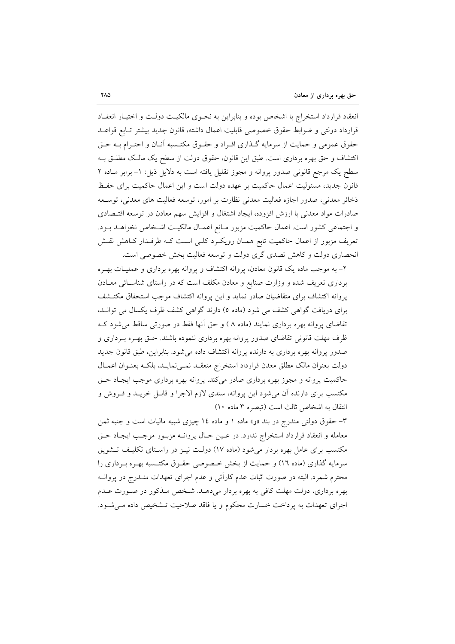انعقاد قرارداد استخراج با اشخاص بوده و بنابراین به نحـوی مالکیـت دولـت و اختیـار انعقـاد قرارداد دولتي و ضوابط حقوق خصوصي قابليت اعمال داشته، قانون جديد بيشتر تـابع قواعـد حقوق عمومی و حمایت از سرمایه گـذاری افـراد و حقـوق مکتـسبه آنـان و احتـرام بـه حـق اکتشاف و حق بهره برداری است. طبق این قانون، حقوق دولت از سطح یک مالک مطلـق بـه سطح یک مرجع قانونی صدور پروانه و مجوز تقلیل یافته است به دلایل ذیل: ١- برابر مـاده ٢ قانون جدید، مسئولیت اعمال حاکمیت بر عهده دولت است و این اعمال حاکمیت برای حفظ ذخائر معدني، صدور اجازه فعاليت معدني نظارت بر امور، توسعه فعاليت هاي معدني، توسـعه صادرات مواد معدنی با ارزش افزوده، ایجاد اشتغال و افزایش سهم معادن در توسعه اقتـصادی و اجتماعی کشور است. اعمال حاکمیت مزبور مـانع اعمـال مالکیـت اشـخاص نخواهــد بــود. تعریف مزبور از اعمال حاکمیت تابع همـان رویکـرد کلـی اسـت کـه طرفـدار کـاهش نقـش انحصاری دولت و کاهش تصدی گری دولت و توسعه فعالیت بخش خصوصی است.

۲- به موجب ماده یک قانون معادن، پروانه اکتشاف و پروانه بهره برداری و عملیـات بهـره برداری تعریف شده و وزارت صنایع و معادن مکلف است که در راستای شناسائی معـادن پروانه اکتشاف برای متقاضیان صادر نماید و این پروانه اکتشاف موجب استحقاق مکتـشف برای دریافت گواهی کشف می شود (ماده ٥) دارند گواهی کشف ظرف یکسال می توانـد، تقاضای پروانه بهره برداری نمایند (ماده ۸ ) و حق اّنها فقط در صورتی ساقط میشود ک ظرف مهلت قانونی تقاضای صدور پروانه بهره برداری ننموده باشند. حـق بهـره بـرداری و صدور پروانه بهره برداری به دارنده پروانه اکتشاف داده میشود. بنابراین، طبق قانون جدید دولت بعنوان مالك مطلق معدن قرارداد استخراج منعقـد نمـى نمايـد، بلكـه بعنـوان اعمـال حاکمیت پروانه و مجوز بهره برداری صادر میکند. پروانه بهره برداری موجب ایجـاد حــق مکتسب برای دارنده آن میشود این پروانه، سندی لازم الاجرا و قابـل خریــد و فــروش و انتقال به اشخاص ثالث است (تبصره ٣ ماده ١٠).

۳– حقوق دولتی مندرج در بند «**ر**» ماده ۱ و ماده ۱٤ چیزی شبیه مالیات است و جنبه ثمن معامله و انعقاد قرارداد استخراج ندارد. در عـين حـال پروانــه مزبــور موجـب ايجـاد حــق مکتسب برای عامل بهره بردار می شود (ماده ۱۷) دولت نیـز در راسـتای تکلیـف تـشویق سرمایه گذاری (ماده ۱۲) و حمایت از بخش خصوصی حقـوق مکتـسبه بهـره بـرداری را محترم شمرد. البته در صورت اثبات عدم كارآئي و عدم اجراي تعهدات منـدرج در پروانــه بهره برداری، دولت مهلت کافی به بهره بردار میدهـد. شـخص مـذکور در صـورت عـدم اجرای تعهدات به پرداخت خسارت محکوم و یا فاقد صلاحیت تـشخیص داده مـیشـود.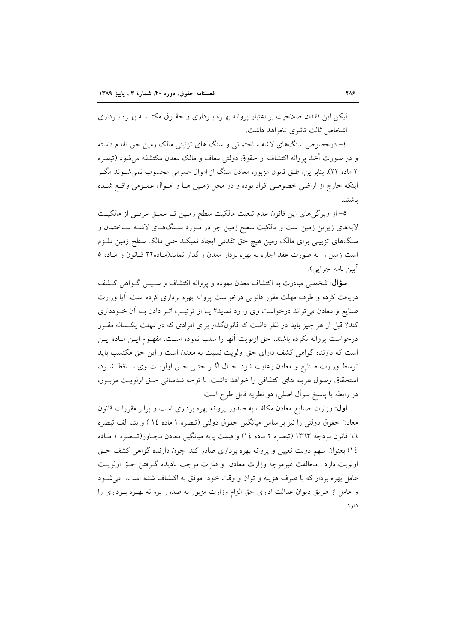لیکن این فقدان صلاحیت بر اعتبار پروانه بهـره بـرداری و حقـوق مکتــسبه بهـره بـرداری اشخاص ثالث تاثيري نخواهد داشت.

٤– درخصوص سنگهای لاشه ساختمانی و سنگ های تزئینی مالک زمین حق تقدم داشته و در صورت أخذ يروانه اكتشاف از حقوق دولتى معاف و مالك معدن مكتشفه مى شود (تبصره ۲ ماده ۲۲). بنابراین، طبق قانون مزبور، معادن سنگ از اموال عمومی محسوب نمی شــوند مگــر اینکه خارج از اراضی خصوصی افراد بوده و در محل زمین هـا و امـوال عمـومی واقـع شـده ىاشند.

٥- از ویژگیهای این قانون عدم تبعیت مالکیت سطح زمـین تـا عمـق عرفـی از مالکیـت لایههای زیرین زمین است و مالکیت سطح زمین جز در مـورد سـنگـهـای لاشـه سـاختمان و سنگهای تزیینی برای مالک زمین هیچ حق تقدمی ایجاد نمیکند حتی مالک سطح زمین ملـزم است زمین را به صورت عقد اجاره به بهره بردار معدن واگذار نماید(مـاده۲۲ قـانون و مـاده ۵ آيين نامه اجرايي).

سؤال: شخصی مبادرت به اکتشاف معدن نموده و پروانه اکتشاف و سبیس گـواهی کـشف دریافت کرده و ظرف مهلت مقرر قانونی درخواست پروانه بهره برداری کرده است. آیا وزارت صنایع و معادن می تواند درخواست وی را رد نماید؟ یـا از ترتیـب اثـر دادن بـه آن خـودداری کند؟ قبل از هر چیز باید در نظر داشت که قانونگذار برای افرادی که در مهلت یکساله مقـرر درخواست پروانه نکرده باشند، حق اولویت آنها را سلب نموده اسـت. مفهـوم ایـن مـاده ایـن است که دارنده گواهی کشف دارای حق اولویت نسبت به معدن است و این حق مکتسب باید توسط وزارت صنايع و معادن رعايت شود. حـال اگـر حتـى حـق اولويـت وى سـاقط شـود، استحقاق وصول هزينه هاى اكتشافى را خواهد داشت. با توجه شناسائى حتى اولويت مزبور، در رابطه با پاسخ سوأل اصلي، دو نظريه قابل طرح است.

**اول**: وزارت صنایع معادن مکلف به صدور پروانه بهره برداری است و برابر مقررات قانون معادن حقوق دولتي را نيز براساس ميانگين حقوق دولتي (تبصره ١ ماده ١٤ ) و بند الف تبصره ٦٦ قانون بودجه ١٣٦٣ (تبصره ٢ ماده ١٤) و قيمت پايه ميانگين معادن مجـاور(تبـصره ١ مـاده ١٤) بعنوان سهم دولت تعيين و پروانه بهره برداري صادر كند. چون دارنده گواهي كشف حـق اولويت دارد . مخالفت غيرموجه وزارت معادن و فلزات موجب ناديده گـرفتن حــق اولويــت عامل بهره بردار که با صرف هزینه و توان و وقت خود ً موفق به اکتشاف شده است، می شـود و عامل از طريق ديوان عدالت اداري حق الزام وزارت مزبور به صدور پروانه بهـره بـرداري را دار د.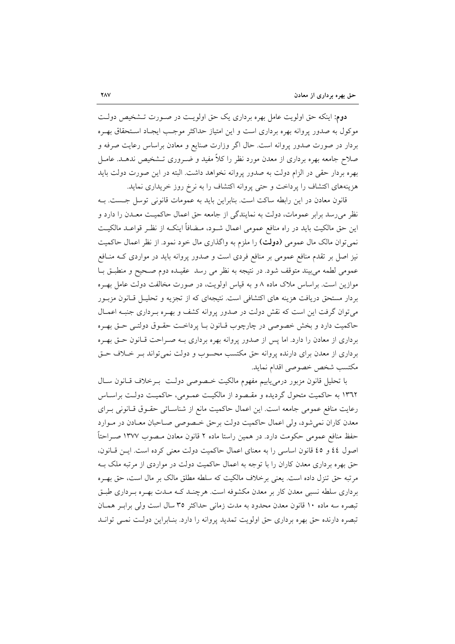دوم: اینکه حق اولویت عامل بهره برداری یک حق اولویت در صـورت تـشخیص دولـت موکول به صدور پروانه بهره برداری است و این امتیاز حداکثر موجب ایجـاد اسـتحقاق بهـره بردار در صورت صدور پروانه است. حال اگر وزارت صنایع و معادن براساس رعایت صرفه و صلاح جامعه بهره برداری از معدن مورد نظر را کلاً مفید و ضــروری تــشخیص ندهــد. عامــل بهره بردار حقى در الزام دولت به صدور پروانه نخواهد داشت. البته در اين صورت دولت بايد هزینههای اکتشاف را پرداخت و حتی پروانه اکتشاف را به نرخ روز خریداری نماید.

قانون معادن در این رابطه ساکت است. بنابراین باید به عمومات قانونی توسل جست. بـه نظر می رسد برابر عمومات، دولت به نمایندگی از جامعه حق اعمال حاکمیت معــدن را دارد و این حق مالکیت باید در راه منافع عمومی اعمال شــود، مــضافاً اینکــه از نظــر قواعــد مالکیــت نمی توان مالک مال عمومی (**دولت**) را ملزم به واگذاری مال خود نمود. از نظر اعمال حاکمیت نیز اصل بر تقدم منافع عمومی بر منافع فردی است و صدور پروانه باید در مواردی کـه منـافع عمومی لطمه میبیند متوقف شود. در نتیجه به نظر می رسد عقیـده دوم صـحیح و منطبـق بـا موازین است. براساس ملاک ماده ۸ و به قیاس اولویت، در صورت مخالفت دولت عامل بهـره بردار مستحق دریافت هزینه های اکتشافی است. نتیجهای که از تجزیه و تحلیـل قـانون مزبـور می توان گرفت این است که نقش دولت در صدور پروانه کشف و بهـره بـرداری جنبـه اعمـال حاكميت دارد و بخش خصوصي در چارچوب قـانون بـا پرداخـت حقـوق دولتـي حـق بهـره برداری از معادن را دارد. اما پس از صدور پروانه بهره برداری بـه صـراحت قـانون حـق بهـره برداری از معدن برای دارنده پروانه حق مکتسب محسوب و دولت نمی تواند بـر خـلاف حـق مكتسب شخص خصوصي اقدام نمايد.

با تحليل قانون مزبور درمى يابيم مفهوم مالكيت خصوصى دولت برخلاف قبانون سبال ۱۳٦۲ به حاکمیت متحول گردیده و مقـصود از مالکیـت عمـومی، حاکمیـت دولـت براسـاس رعايت منافع عمومي جامعه است. اين اعمال حاكميت مانع از شناسـائي حقـوق قـانوني بـراي معدن کاران نمی شود، ولی اعمال حاکمیت دولت برحق خصوصی صـاحبان معـادن در مـوارد حفظ منافع عمومی حکومت دارد. در همین راستا ماده ۲ قانون معادن مـصوب ۱۳۷۷ صـراحتاً اصول ٤٤ و ٤٥ قانون اساسي را به معناي اعمال حاكميت دولت معنى كرده است. ايـن قـانون، حق بهره برداری معدن کاران را با توجه به اعمال حاکمیت دولت در مواردی از مرتبه ملک بـه مرتبه حق تنزل داده است. یعنی برخلاف مالکیت که سلطه مطلق مالک بر مال است، حق بهـره برداری سلطه نسبی معدن کار بر معدن مکشوفه است. هرچنـد کــه مــدت بهــره بــرداری طبــق تبصره سه ماده ۱۰ قانون معدن محدود به مدت زمانی حداکثر ۳۵ سال است ولی براب همان تبصره دارنده حق بهره برداري حق اولويت تمديد پروانه را دارد. بنـابراين دولـت نمـي توانـد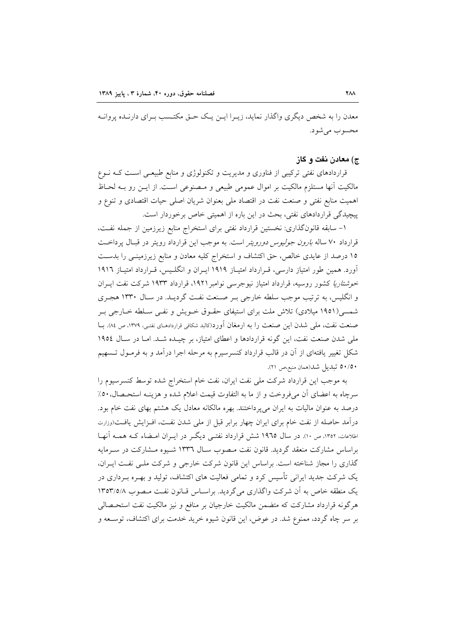معدن را به شخص دیگری واگذار نماید، زیـرا ایــن یــک حــق مکتــسب بــرای دارنــده پروانــه محسوب مي شو د.

#### ج) معادن نفت و گاز

قراردادهای نفتی ترکیبی از فناوری و مدیریت و تکنولوژی و منابع طبیعی است کـه نــوع مالکیت آنها مستلزم مالکیت بر اموال عمومی طبیعی و مـصنوعی اسـت. از ایــن رو بــه لحــاظ اهميت منابع نفتي و صنعت نفت در اقتصاد ملي بعنوان شريان اصلي حيات اقتصادي و تنوع و پیچیدگی قراردادهای نفتی، بحث در این باره از اهمیتی خاص برخوردار است.

١- سابقه قانونگذاري: نخستين قرارداد نفتي براي استخراج منابع زيرزمين از جمله نفت، قرارداد ۷۰ ساله *بارون جولیوس دورویتر* است. به موجب این قرارداد رویتر در قبال پرداخت ۱۵ درصد از عایدی خالص، حق اکتشاف و استخراج کلیه معادن و منابع زیرزمینـی را بدسـت آورد. همین طور امتیاز دارسی، قـرارداد امتیـاز ۱۹۱۹ ایـران و انگلـیس، قـرارداد امتیـاز ۱۹۱۲ *خوشتاریا* کشور روسیه، قرارداد امتیاز نیوجرسی نوامبر ۱۹۲۱، قرارداد ۱۹۳۳ شرکت نفت ایـران و انگلیس، به ترتیب موجب سلطه خارجی بـر صـنعت نفـت گردیــد. در سـال ۱۳۳۰ هجـری شمسی(۱۹۵۱ میلادی) تلاش ملت برای استیفای حقـوق خـویش و نفـی سـلطه خـارجی بـر صنعت نفت، ملي شدن اين صنعت را به ارمغان آورد(كالبد شكافي قراردادهـاي نفتـي، ١٣٧٩، ص ٨٤). بــا ملی شدن صنعت نفت، این گونه قراردادها و اعطای امتیاز، بر چیـده شـد. امـا در سـال ١٩٥٤ شکل تغییر یافتهای از آن در قالب قرارداد کنسرسیرم به مرحله اجرا درآمد و به فرمـول تـسهیم ٥٠/٥٠ تبديل شد(همان منبع،ص ٢١).

به موجب این قرارداد شرکت ملی نفت ایران، نفت خام استخراج شده توسط کنسرسیوم را سرچاه به اعضای آن میفروخت و از ما به التفاوت قیمت اعلام شده و هزینـه استحـصال. ٥٠٪ درصد به عنوان مالیات به ایران میپرداختند. بهره مالکانه معادل یک هشتم بهای نفت خام بود. درآمد حاصله از نفت خام براي ايران چهار برابر قبل از ملي شدن نفـت، افـزايش يافـت(وزارت اطلاعات، ١٣٥٢، ص ١٠). در سال ١٩٦٥ شش قرارداد نفتـبي ديگـر در ايــران امــضاء کــه همــه آنهــا براساس مشارکت منعقد گردید. قانون نفت مـصوب سـال ۱۳۳٦ شـیوه مـشارکت در سـرمایه گذاری را مجاز شناخته است. براساس این قانون شرکت خارجی و شرکت ملـی نفـت ایـران، یک شرکت جدید ایرانی تأسیس کرد و تمامی فعالیت های اکتشاف، تولید و بهـره بـرداری در یک منطقه خاص به آن شرکت واگذاری می گردید. براساس قبانون نفت مصوب ١٣٥٣/٥/٨ هرگونه قرارداد مشارکت که متضمن مالکیت خارجیان بر منافع و نیز مالکیت نفت استحـصالی بر سر چاه گردد، ممنوع شد. در عوض، این قانون شیوه خرید خدمت برای اکتشاف، توسـعه و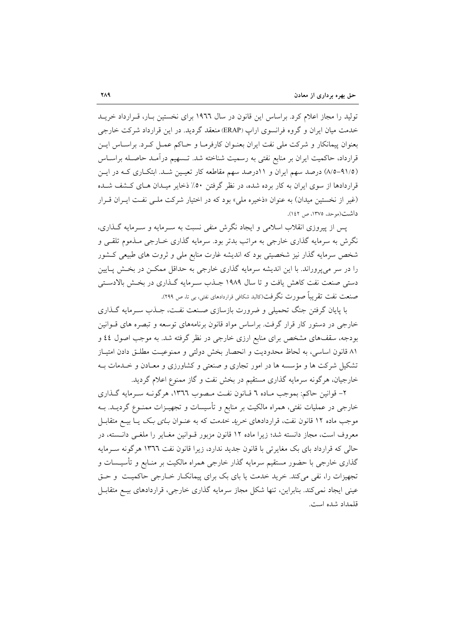تولید را مجاز اعلام کرد. براساس این قانون در سال ۱۹۲۲ برای نخستین بـار، قـرارداد خریــد خدمت میان ایران و گروه فرانسوی اراپ (ERAP) منعقد گردید. در این قرارداد شرکت خارجی بعنوان پیمانکار و شرکت ملی نفت ایران بعنـوان کارفرمـا و حـاکم عمـل کـرد. براسـاس ایـن قرارداد، حاکمیت ایران بر منابع نفتی به رسمیت شناخته شد. تـسهیم درآمـد حاصـله براسـاس (٩١/٥–٨/٥) درصد سهم ايران و ١١درصد سهم مقاطعه كار تعيين شـد. ابتكـاري كـه در ايـن قراردادها از سوی ایران به کار برده شده، در نظر گرفتن ۵۰٪ ذخایر میـدان هـای کـشف شـده (غیر از نخستین میدان) به عنوان «ذخیره مل<sub>ی</sub>» بود که در اختیار شرکت مل*ـی* نفـت ایـران قـرار داشت(موحد، ١٣٧٥، ص ١٤٢).

پس از پیروزی انقلاب اسلامی و ایجاد نگرش منفی نسبت به سـرمایه و سـرمایه گـذاری، نگرش به سرمایه گذاری خارجی به مراتب بدتر بود. سرمایه گذاری خــارجی مــذموم تلقــی و شخص سرمایه گذار نیز شخصیتی بود که اندیشه غارت منابع ملی و ثروت های طبیعی کـشور را در سر میپروراند. با این اندیشه سرمایه گذاری خارجی به حداقل ممکـن در بخـش پــایین دستی صنعت نفت کاهش یافت و تا سال ۱۹۸۹ جـذب سـرمایه گـذاری در بخـش بالادسـتی صنعت نفت تقريباً صورت نگرفت(كالبد شكافي قراردادهاي نفتي، بي تا، ص ٢٩٩).

با پایان گرفتن جنگ تحمیلی و ضرورت بازسازی صنعت نفت، جـذب سـرمایه گـذاری خارجی در دستور کار قرار گرفت. براساس مواد قانون برنامههای توسعه و تبصره های قــوانین بودجه، سقفهای مشخص برای منابع ارزی خارجی در نظر گرفته شد. به موجب اصول ٤٤ و ٨١ قانون اساسي، به لحاظ محدوديت و انحصار بخش دولتي و ممنوعيت مطلـق دادن امتيـاز تشکیل شرکت ها و مؤسسه ها در امور تجاری و صنعتی و کشاورزی و معـادن و خـلـمات بـه خارجیان، هرگونه سرمایه گذاری مستقیم در بخش نفت و گاز ممنوع اعلام گردید.

۲- قوانین حاکم: بموجب مـاده ٦ قـانون نفـت مـصوب ١٣٦٦، هرگونــه سـرمايه گـذاري خارجی در عملیات نفتی، همراه مالکیت بر منابع و تأسیسات و تجهیـزات ممنــوع گردیــد. بــه موجب ماده ۱۲ قانون نفت، قراردادهای *خرید خدمت* که به عنــوان *بــای بــک* یــا بیــع متقابــل معروف است، مجاز دانسته شد؛ زیرا ماده ۱۲ قانون مزبور قـوانین مغـایر را ملغـی دانـسته، در حالی که قرارداد بای بک مغایرتی با قانون جدید ندارد، زیرا قانون نفت ١٣٦٦ هرگونه ســ مایه گذاری خارجی با حضور مستقیم سرمایه گذار خارجی همراه مالکیت بر منـابع و تأسیــسات و تجهیزات را، نفی می کند. خرید خدمت یا بای بک برای پیمانکبار خبارجی حاکمیت و حتی عینی ایجاد نمی کند. بنابراین، تنها شکل مجاز سرمایه گذاری خارجی، قراردادهای بیـع متقابـل قلمداد شده است.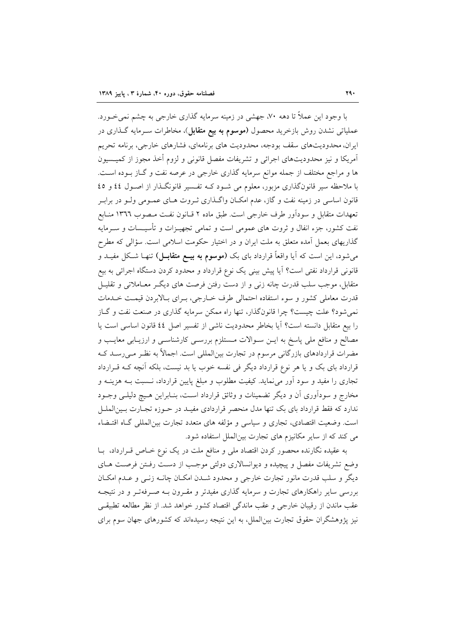با وجود این عملاً تا دهه ۷۰، جهشی در زمینه سرمایه گذاری خارجی به چشم نمی خــورد. عملیاتی نشدن روش بازخرید محصول (**موسوم به بیع متقابل**)، مخاطرات سـرمایه گـذاری در ایران، محدودیتهای سقف بودجه، محدودیت های برنامهای، فشارهای خارجی، برنامه تحریم آمریکا و نیز محدودیتهای اجرائی و تشریفات مفصل قانونی و لزوم أخذ مجوز از کمیـسیون ها و مراجع مختلف از جمله موانع سرمایه گذاری خارجی در عرصه نفت و گــاز بــوده اســت. با ملاحظه سیر قانونگذاری مزبور، معلوم می شـود کـه تفـسیر قانونگـذار از اصـول ٤٤ و ٤٥ قانون اساسی در زمینه نفت و گاز، عدم امکـان واگـذاری ثـروت هـای عمـومی ولـو در برابـر تعهدات متقابل و سودآور طرف خارجي است. طبق ماده ۲ قــانون نفـت مـصوب ١٣٦٦ منــابع نفت کشور، جزء انفال و ثروت های عمومی است و تمامی تجهیــزات و تأسیــسات و ســرمایه گذاریهای بعمل آمده متعلق به ملت ایران و در اختیار حکومت اسلامی است. سؤالی که مطرح می شود، این است که آیا واقعاً قرارداد بای بک (م**وسوم به بیــع متقابــل**) تنهـا شـکل مفیــد و قانونی قرارداد نفتی است؟ آیا پیش بینی یک نوع قرارداد و محدود کردن دستگاه اجرائی به بیع متقابل، موجب سلب قدرت چانه زنی و از دست رفتن فرصت های دیگ معـاملاتی و تقلیـل قدرت معاملي كشور و سوءِ استفاده احتمالي طرف خــارجي، بــراي بــالابردن قيمــت خــدمات نمی شود؟ علت چیست؟ چرا قانونگذار، تنها راه ممکن سرمایه گذاری در صنعت نفت و گـاز را بيع متقابل دانسته است؟ آيا بخاطر محدوديت ناشي از تفسير اصل ٤٤ قانون اساسي است يا مصالح و منافع ملي پاسخ به ايـن سـوالات مـستلزم بررسـي كارشناسـي و ارزيـابي معايـب و مضرات قراردادهای بازرگانی مرسوم در تجارت بین|لمللی است. اجمالاً به نظـر مـی(سـد کـه قرارداد بای بک و یا هر نوع قرارداد دیگر فی نفسه خوب یا بد نیست، بلکه آنچه کـه قـرارداد تجاری را مفید و سود آور می نماید. کیفیت مطلوب و مبلغ پایین قرارداد، نـسبت بـه هزینـه و مخارج و سودآوری آن و دیگر تضمینات و وثائق قرارداد اسـت، بنـابراین هـیچ دلیلـی وجــود ندارد که فقط قرارداد بای بک تنها مدل منحصر قراردادی مفیـد در حـوزه تجـارت بـینالملـل است. وضعیت اقتصادی، تجاری و سیاسی و مؤلفه های متعدد تجارت بین(لمللی گـاه اقتـضاء می کند که از سایر مکانیزم های تجارت بینالملل استفاده شود.

به عقیده نگارنده محصور کردن اقتصاد ملی و منافع ملت در یک نوع خـاص قــرارداد، بــا وضع تشريفات مفصل و پيچيده و ديوانسالاري دولتي موجب از دست رفـتن فرصـت هـاي دیگر و سلب قدرت مانور تجارت خارجی و محدود شـدن امکـان چانـه زنـی و عـدم امکـان بررسی سایر راهکارهای تجارت و سرمایه گذاری مفیدتر و مقـرون بـه صـرفهتـر و در نتیجـه عقب ماندن از رقیبان خارجی و عقب ماندگی اقتصاد کشور خواهد شد. از نظر مطالعه تطبیقی نیز پژوهشگران حقوق تجارت بین|لملل، به این نتیجه رسیدهاند که کشورهای جهان سوم برای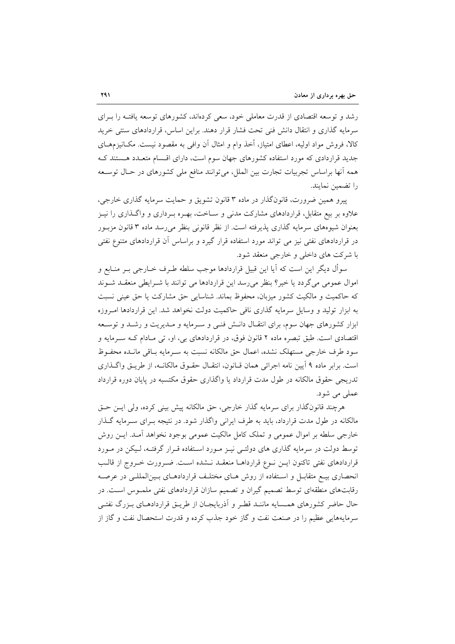رشد و توسعه اقتصادی از قدرت معاملی خود، سعی کردهاند، کشورهای توسعه یافتـه را بـرای سرمایه گذاری و انتقال دانش فنی تحت فشار قرار دهند. براین اساس، قراردادهای سنتی خرید کالا، فروش مواد اولیه، اعطای امتیاز، أخذ وام و امثال آن وافی به مقصود نیست. مکــانیزمهــای جدید قراردادی که مورد استفاده کشورهای جهان سوم است، دارای اقسام متعـدد هـستند کـه همه آنها براساس تجربیات تجارت بین الملل، میتوانند منافع ملی کشورهای در حـال توسـعه را تضمين نمايند.

پیرو همین ضرورت، قانونگذار در ماده ۳ قانون تشویق و حمایت سرمایه گذاری خارجی، علاوه بر بیع متقابل، قراردادهای مشارکت مدنی و سـاخت، بهـره بـرداری و واگــذاری را نیــز بعنوان شیوههای سرمایه گذاری پذیرفته است. از نظر قانونی بنظر می رسد ماده ۳ قانون مزبـور در قراردادهای نفتی نیز می تواند مورد استفاده قرار گیرد و براساس آن قراردادهای متنوع نفتی با شرکت های داخلی و خارجی منعقد شود.

سوأل ديگر اين است كه أيا اين قبيل قراردادها موجب سلطه طـرف خــارجي بــر منــابع و اموال عمومی می گردد یا خیر؟ بنظر می رسد این قراردادها می توانند با شـرایطی منعقـد شـوند كه حاكميت و مالكيت كشور ميزبان، محفوظ بماند. شناسايي حق مشاركت يا حق عيني نسبت به ابزار تولید و وسایل سرمایه گذاری نافی حاکمیت دولت نخواهد شد. این قراردادها امروزه ابزار کشورهای جهان سوم، برای انتقـال دانـش فنـی و سـرمایه و مـدیریت و رشـد و توسـعه اقتصادی است. طبق تبصره ماده ۲ قانون فوق، در قراردادهای بی، او، تی مـادام کـه سـرمایه و سود طرف خارجی مستهلک نشده، اعمال حق مالکانه نسبت به سـرمایه بـاقی مانـده محفـوظ است. برابر ماده ۹ آیین نامه اجرائی همان قـانون، انتقـال حقـوق مالکانـه، از طریـق واگـذاری تدریجی حقوق مالکانه در طول مدت قرارداد یا واگذاری حقوق مکتسبه در پایان دوره قرارداد عملي مي شود.

هرچند قانونگذار برای سرمایه گذار خارجی، حق مالکانه پیش بینی کرده، ولی ایـن حـق مالکانه در طول مدت قرارداد، باید به طرف ایرانی واگذار شود. در نتیجه بـرای سـرمایه گــذار خارجي سلطه بر اموال عمومي و تملک کامل مالکيت عمومي بوجود نخواهد آمـد. ايــن روش توسط دولت در سرمایه گذاری های دولتبی نیـز مـورد اسـتفاده قـرار گرفتـه، لـیکن در مـورد قراردادهای نفتی تاکنون ایـن نـوع قرارداهـا منعقـد نـشده اسـت. ضـرورت خـروج از قالـب انحصاری بیـع متقابـل و اسـتفاده از روش هـای مختلـف قراردادهـای بـینالمللـی در عرصـه رقابتهای منطقهای توسط تصمیم گیران و تصمیم سازان قراردادهای نفتی ملمـوس اسـت. در حال حاضر كشورهاي همـسايه ماننـد قطـر و أذربايجـان از طريــق قراردادهــاي بــزرگ نفتــي سرمايههايي عظيم را در صنعت نفت و گاز خود جذب كرده و قدرت استحصال نفت و گاز از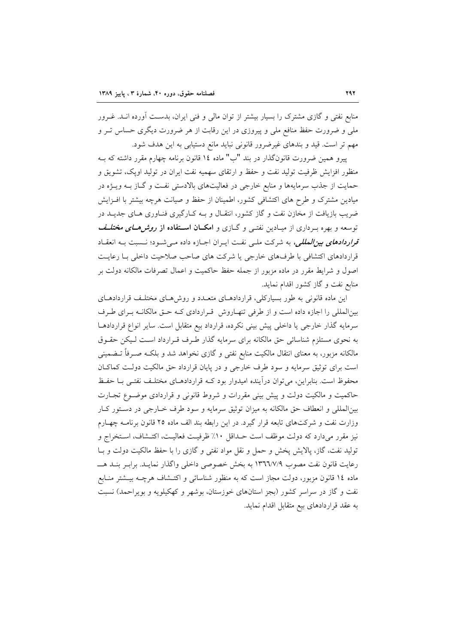منابع نفتی و گازی مشترک را بسیار بیشتر از توان مالی و فنی ایران، بدست آورده انـد. غــرور ملی و ضرورت حفظ منافع ملی و پیروزی در این رقابت از هر ضرورت دیگری حساس تـر و مهم تر است. قید و بندهای غیرضرور قانونی نباید مانع دستیابی به این هدف شود.

پیرو همین ضرورت قانونگذار در بند "ب" ماده ۱٤ قانون برنامه چهارم مقرر داشته که بـه منظور افزایش ظرفیت تولید نفت و حفظ و ارتقای سهمیه نفت ایران در تولید اوپک، تشویق و حمایت از جذب سرمایهها و منابع خارجی در فعالیتهای بالادستی نفت و گـاز بـه ویـژه در میادین مشترک و طرح های اکتشافی کشور، اطمینان از حفظ و صیانت هرچه بیشتر با افـزایش ضریب بازیافت از مخازن نفت و گاز کشور، انتقـال و بــه کــارگیری فنــاوری هــای جدیــد در توسعه و بهره بـرداری از میـادین نفتـی و گــازی و امکـ**ـان اســتفاده از** *روش هــای مختلــف* قراردادهای بین المللی، به شرکت ملبی نفت ایـران اجـازه داده مـی شـود؛ نـسبت بـه انعقـاد قرار دادهای اکتشافی با طرفهای خارجی یا شرکت های صاحب صلاحیت داخلی بـا رعایـت اصول و شرایط مقرر در ماده مزبور از جمله حفظ حاکمیت و اعمال تصرفات مالکانه دولت بر منابع نفت و گاز کشور اقدام نماید.

این ماده قانونی به طور بسیارکلی، قراردادهـای متعـدد و روش۵حای مختلـف قراردادهـای بینالمللی را اجازه داده است و از طرفی تنهـاروش قـراردادی کـه حـق مالکانـه بـرای طـرف سرمایه گذار خارجی یا داخلی پیش بینی نکرده، قرارداد بیع متقابل است. سایر انواع قراردادهـا به نحوی مستلزم شناسائی حق مالکانه برای سرمایه گذار طرف قـرارداد اسـت لـیکن حقـوق مالکانه مزبور، به معنای انتقال مالکیت منابع نفتی و گازی نخواهد شد و بلکـه صـرفاً تــضمینی است برای توثیق سرمایه و سود طرف خارجی و در پایان قرارداد حق مالکیت دولت کماکان محفوظ است. بنابراین، می توان درآینده امیدوار بود کـه قراردادهـای مختلـف نفتـی بـا حفـظ حاکمیت و مالکیت دولت و پیش بینی مقررات و شروط قانونی و قراردادی موضـوع تجـارت بینالمللی و انعطاف حق مالکانه به میزان توثیق سرمایه و سود طرف خـارجی در دسـتور کـار وزارت نفت و شرکتهای تابعه قرار گیرد. در این رابطه بند الف ماده ۲۵ قانون برنامـه چهـارم نيز مقرر مي دارد كه دولت موظف است حـداقل ١٠٪ ظرفيـت فعاليـت، اكتـشاف، اسـتخراج و تولید نفت، گاز، پالایش پخش و حمل و نقل مواد نفتی و گازی را با حفظ مالکیت دولت و بـا رعايت قانون نفت مصوب ١٣٦٦/٧/٩ به بخش خصوصي داخلي واگذار نمايـد. برابـر بنـد هــــ ماده ۱۶ قانون مزبور، دولت مجاز است که به منظور شناسائی و اکتــشاف هرچــه بیــشتر منــابع نفت و گاز در سراسر کشور (بجز استانهای خوزستان، بوشهر و کهکیلویه و بویراحمد) نسبت به عقد قراردادهای بیع متقابل اقدام نماید.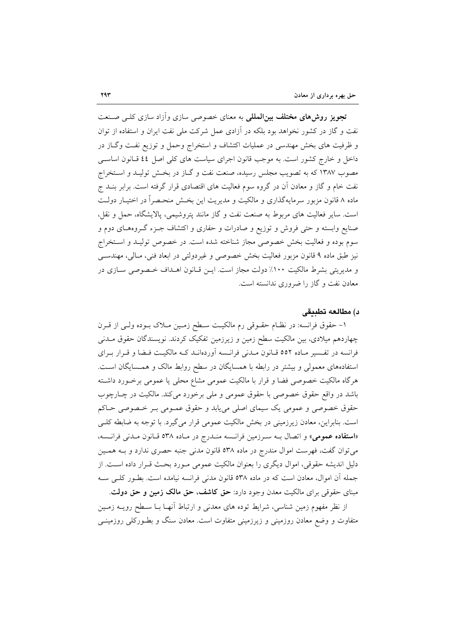<mark>تجویز روش۵ای مختلف بین المللی</mark> به معنای خصوصی سازی وآزاد سازی کلبی صنعت نفت و گاز در کشور نخواهد بود بلکه در آزادی عمل شرکت ملی نفت ایران و استفاده از توان و ظرفیت های بخش مهندسی در عملیات اکتشاف و استخراج وحمل و توزیع نفت وگـاز در داخل و خارج کشور است. به موجب قانون اجرای سیاست های کلی اصل ٤٤ قــانون اساســی مصوب ۱۳۸۷ که به تصویب مجلس رسیده، صنعت نفت و گـاز در بخـش تولیــد و اســتخراج نفت خام و گاز و معادن آن در گروه سوم فعالیت های اقتصادی قرار گرفته است. برابر بنــد ج ماده ۸ قانون مزبور سرمایهگذاری و مالکیت و مدیریت این بخش منحـصراً در اختیـار دولـت است. سایر فعالیت های مربوط به صنعت نفت و گاز مانند پتروشیمی، پالایشگاه، حمل و نقل، صنایع وابسته و حتبی فروش و توزیع و صادرات و حفاری و اکتشاف جـزء گـروههـای دوم و سوم بوده و فعالیت بخش خصوصی مجاز شناخته شده است. در خصوص تولیـد و اسـتخراج نیز طبق ماده ۹ قانون مزبور فعالیت بخش خصوصی و غیردولتی در ابعاد فنی، مـالی، مهندسـی و مدیریتی بشرط مالکیت ١٠٠٪ دولت مجاز است. ایـن قـانون اهـداف خـصوصی سـازی در معادن نفت و گاز را ضروری ندانسته است.

#### د) مطالعه تطبيقي

۱– حقوق فرانسه: در نظـام حقــوقى رم مالكيــت ســطح زمـين مــلاک بــوده ولــى از قــرن چهاردهم میلادی، بین مالکیت سطح زمین و زیرزمین تفکیک کردند. نویسندگان حقوق مـدنی فرانسه در تفسیر مـاده ٥٥٢ قـانون مـدنی فرانـسه آوردهانـد کـه مالکیـت فـضا و قـرار بـرای استفادههای معمولی و بیشتر در رابطه با همسایگان در سطح روابط مالک و همسایگان است. هرگاه مالکیت خصوصی فضا و قرار با مالکیت عمومی مشاع محلی یا عمومی برخـورد داشـته باشد در واقع حقوق خصوصی با حقوق عمومی و ملی برخورد می کند. مالکیت در چـارچوب حقوق خصوصی و عمومی یک سیمای اصلی می یابد و حقوق عمـومی بـر خـصوصی حـاکم است. بنابراین، معادن زیرزمینی در بخش مالکیت عمومی قرار میگیرد. با توجه به ضابطه کلـی «استفاده عمومي» و اتصال بـه سـرزمين فرانـسه منـدرج در مـاده ٥٣٨ قـانون مـدنى فرانـسه، می توان گفت، فهرست اموال مندرج در ماده ۵۳۸ قانون مدنی جنبه حصری ندارد و بـه همـین دلیل اندیشه حقوقی، اموال دیگری را بعنوان مالکیت عمومی مـورد بحـث قـرار داده اسـت. از جمله أن اموال، معادن است كه در ماده ٥٣٨ قانون مدنى فرانسه نيامده است. بطـور كلـى سـه مبنای حقوقی برای مالکیت معدن وجود دارد: حق کاشف، حق مالک زمین و حق دولت.

از نظر مفهوم زمین شناسی، شرایط توده های معدنی و ارتباط آنهـا بــا ســطح رویــه زمــین متفاوت و وضع معادن روزمینی و زیرزمینی متفاوت است. معادن سنگ و بطـورکلی روزمینــی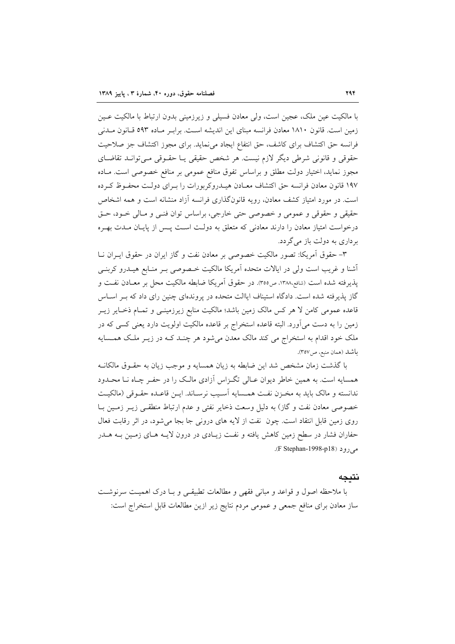با مالکیت عین ملک، عجین است، ولی معادن فسیلی و زیرزمینی بدون ارتباط با مالکیت عـین زمین است. قانون ۱۸۱۰ معادن فرانسه مبنای این اندیشه است. براب ماده ۵۹۳ قیانون میدنی فرانسه حق اكتشاف براى كاشف، حق انتفاع ايجاد مى نمايد. براى مجوز اكتشاف جز صلاحيت حقوقی و قانونی شرطی دیگر لازم نیست. هر شخص حقیقی یـا حقـوقی مـیتوانـد تقاضـای مجوز نماید، اختیار دولت مطلق و براساس تفوق منافع عمومی بر منافع خصوصی است. مـاده ۱۹۷ قانون معادن فرانسه حق اکتشاف معـادن هیـدروکربورات را بـرای دولـت محفـوظ کـرده است. در مورد امتیاز کشف معادن، رویه قانونگذاری فرانسه آزاد منشانه است و همه اشخاص حقیقی و حقوقی و عمومی و خصوصی حتی خارجی، براساس توان فنبی و مـالی خـود، حـق درخواست امتیاز معادن را دارند معادنی که متعلق به دولت است پس از پایـان مـدت بهـره بر داري به دولت باز مي گر دد.

٣- حقوق آمريكا: تصوَّر مالكيت خصوصي بر معادن نفت و گاز ايران در حقوق ايــران نــا أشنا و غریب است ولی در ایالات متحده اَمریکا مالکیت خـصوصی بــر منـابع هیــدرو کربنــی يذيرفته شده است (شافع،١٣٨٨، ص٣٥٥). در حقوق آمريكا ضابطه مالكيت محل بر معــادن نفــت و گاز پذیرفته شده است. دادگاه استیناف ایاالت متحده در پروندهای چنین رای داد که بـر اسـاس قاعده عمومی کامن لا هر کس مالک زمین باشد؛ مالکیت منابع زیرزمینـی و تمـام ذخـایر زیــر زمین را به دست می آورد. البته قاعده استخراج بر قاعده مالکیت اولویت دارد یعنی کسی که در ملک خود اقدام به استخراج می کند مالک معدن میشود هر چنـد کـه در زيـر ملـک همـسايه باشد (همان منبع، ص٣٥٧).

با گذشت زمان مشخص شد این ضابطه به زیان همسایه و موجب زیان به حقـوق مالکانــه همسایه است. به همین خاطر دیوان عـالی تگـزاس آزادی مالـک را در حفـر چـاه نـا محـدود ندانسته و مالک باید به مخـزن نفـت همـسایه آسـیب نرسـاند. ایـن قاعـده حقـوقی (مالکیـت خصوصی معادن نفت و گاز) به دلیل وسعت ذخایر نفتی و عدم ارتباط منطقـی زیـر زمـین بـا روی زمین قابل انتقاد است. چون نفت از لایه های درونی جا بجا می شود، در اثر رقابت فعال حفاران فشار در سطح زمین کاهش یافته و نفت زیـادی در درون لایـه هـای زمـین بـه هـدر مي, د (F Stephan-1998-p18).

#### نتىجە

با ملاحظه اصول و قواعد و مبانی فقهی و مطالعات تطبیقی و بـا درک اهمیـت سرنوشـت ساز معادن برای منافع جمعی و عمومی مردم نتایج زیر ازین مطالعات قابل استخراج است: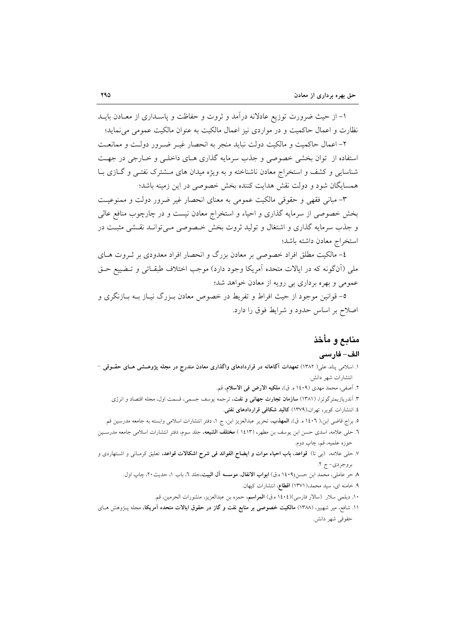۱– از حیث ضرورت توزیع عادلانه درآمد و ثروت و حفاظت و پاسـداری از معـادن بایــد نظارت و اعمال حاکمیت و در مواردی نیز اعمال مالکیت به عنوان مالکیت عمومی می نماید؛

۲– اعمال حاکمیت و مالکیت دولت نباید منجر به انحصار غیـر ضـرور دولـت و ممانعـت استفاده از توان بخشی خصوصی و جذب سرمایه گذاری هـای داخلـی و خـارجی در جهـت شناسایی و کشف و استخراج معادن ناشناخته و به ویژه میدان های مشترک نفتـی و گـازی بـا همسایگان شود و دولت نقش هدایت کننده بخش خصوصی در این زمینه باشد؛

۳- مبانی فقهی و حقوقی مالکیت عمومی به معنای انحصار غیر ضرور دولت و ممنوعیت بخش خصوصی از سرمایه گذاری و احیاء و استخراج معادن نیست و در چارچوب منافع عالی و جذب سرمایه گذاری و اشتغال و تولید ثروت بخش خـصوصی مـیتوانـد نقـشی مثبـت در استخراج معادن داشته باشد؛

٤- مالكيت مطلق افراد خصوصي بر معادن بزرگ و انحصار افراد معدودي بر ثـروت هــاي ملي (أنگونه که در ايالات متحده اَمريکا وجود دارد) موجب اختلاف طبقـاتي و تــضييع حــق عمومی و بهره برداری بی رویه از معادن خواهد شد؛

٥- قوانین موجود از حیث افراط و تفریط در خصوص معادن بـزرگ نیـاز بـه بـازنگری و اصلاح بر اساس حدود و شرايط فوق را دارد.

## منابع و مأخذ

#### الف– فارسى

- ۱. اسلامی بناه، علی( ۱۳۸۲) تعهدات آگاهانه در قراردادهای واگذاری معادن مندرج در مجله پژوهــشی هــای حقــوقی انتشارات شهر دانش.
	- ٢. أصفي، محمد مهدي (١٤٠٩ ه. ق)، ملكيه الارض في الاسلام، قم.
	- ۳. آندریازیمترگوئرا، (۱۳۸۱) **سازمان تجارت جهانی و نفت**، ترجمه یوسف جسمی، قسمت اول، مجله اقتصاد و انرژی ٤. انتشارات كوير، تهران،(١٣٧٩) كالبد شكافي قراردادهاي نفتي.
- ۰. براج قاضی ابن،( ۱٤۰٦ ه. ق)، **المهذب**، تحریر عبدالعزیز ابن، ج ۱، دفتر انتشارات اسلامی وابسته به جامعه مدرسین قم ٦. حلي علامه، اسدي حسن ابن يوسف بن مطهر، (١٤١٣) م**ختلف الشيعه**، جلد سوم، دفتر انتشارات اسلامي جامعه مدرسـين حوزه علميه، قم، چاپ دوم.
- ۷. حلی علامه، (بی تا) قواعد، باب احیاء موات و ایضاح الفوائد فی شرح اشکالات قواعد، تعلیق کرمـانی و اشــتهاردی و بروجردي-ج ٢.
	- ٨ حر عاملي، محمد ابن حسن(١٤٠٩ه.ق) ا**بواب الانفال، موسسه آل البيت**،جلد ٦، باب ١، حديث٢٠، چاب اول.
		- ۹. خامنه ای، سید محمد،( ۱۳۷۱) اقطاع، انتشارات کیهان.
		- ١٠. ديلمي سلار (سالار فارسي)(١٤٠٤ه.ق) المواسم، حمزه بن عبدالعزيز، منشورات الحرمين، قم.
- ۱۱. شافع، میر شهبیز، (۱۳۸۸) م**الکیت خصوصی بر منابع نفت و گاز در حقوق ایالات متحده آمریکا،** مجله پــژوهش هــای حقوقی شهر دانش.